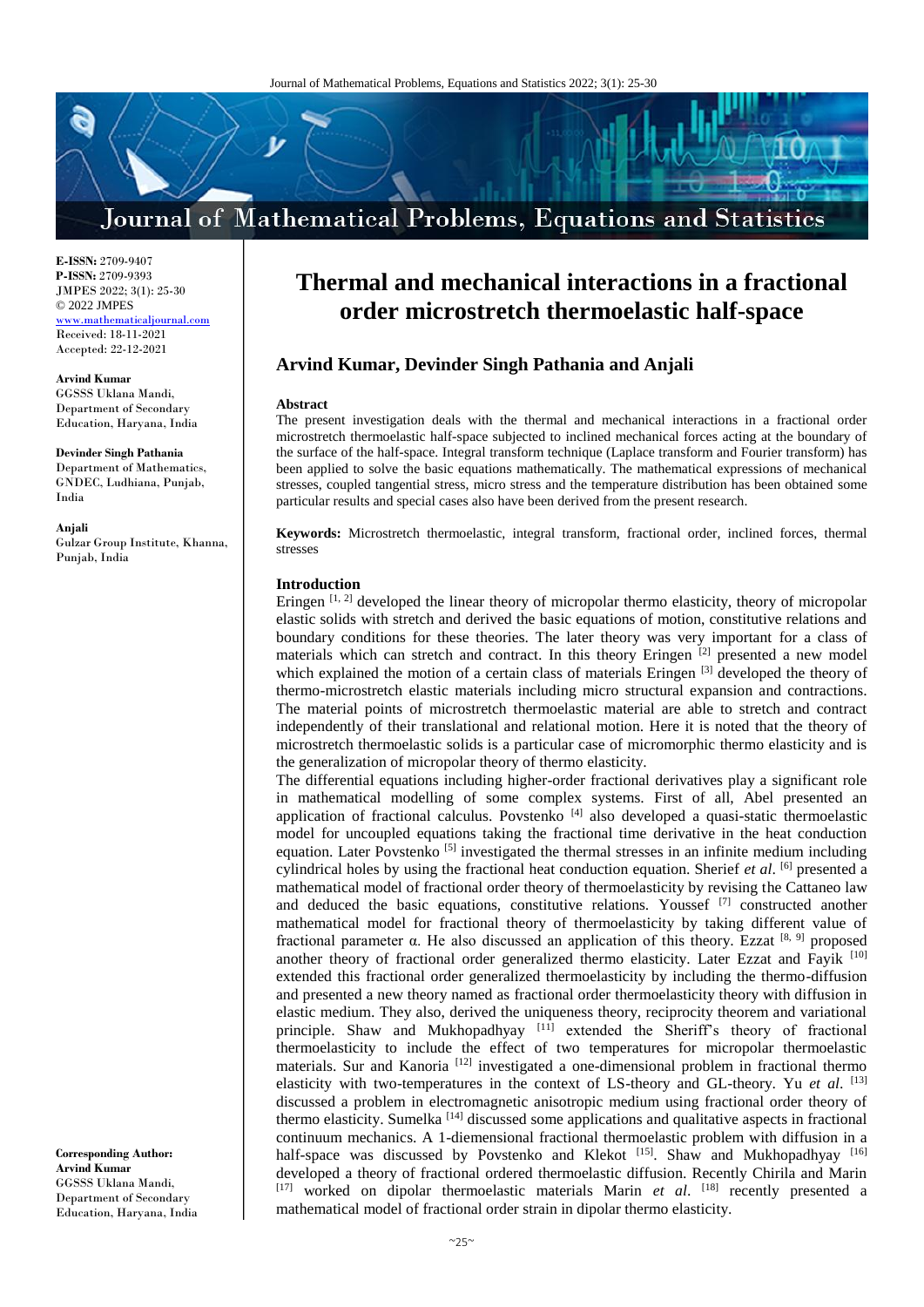

**E-ISSN:** 2709-9407 **P-ISSN:** 2709-9393 JMPES 2022; 3(1): 25-30 © 2022 JMPES <www.mathematicaljournal.com> Received: 18-11-2021 Accepted: 22-12-2021

**Arvind Kumar** GGSSS Uklana Mandi, Department of Secondary Education, Haryana, India

**Devinder Singh Pathania** Department of Mathematics, GNDEC, Ludhiana, Punjab, India

**Anjali** Gulzar Group Institute, Khanna, Punjab, India

**Corresponding Author: Arvind Kumar** GGSSS Uklana Mandi, Department of Secondary Education, Haryana, India

# **Thermal and mechanical interactions in a fractional order microstretch thermoelastic half-space**

# **Arvind Kumar, Devinder Singh Pathania and Anjali**

#### **Abstract**

The present investigation deals with the thermal and mechanical interactions in a fractional order microstretch thermoelastic half-space subjected to inclined mechanical forces acting at the boundary of the surface of the half-space. Integral transform technique (Laplace transform and Fourier transform) has been applied to solve the basic equations mathematically. The mathematical expressions of mechanical stresses, coupled tangential stress, micro stress and the temperature distribution has been obtained some particular results and special cases also have been derived from the present research.

**Keywords:** Microstretch thermoelastic, integral transform, fractional order, inclined forces, thermal stresses

# **Introduction**

Eringen  $[1, 2]$  developed the linear theory of micropolar thermo elasticity, theory of micropolar elastic solids with stretch and derived the basic equations of motion, constitutive relations and boundary conditions for these theories. The later theory was very important for a class of materials which can stretch and contract. In this theory Eringen [2] presented a new model which explained the motion of a certain class of materials Eringen [3] developed the theory of thermo-microstretch elastic materials including micro structural expansion and contractions. The material points of microstretch thermoelastic material are able to stretch and contract independently of their translational and relational motion. Here it is noted that the theory of microstretch thermoelastic solids is a particular case of micromorphic thermo elasticity and is the generalization of micropolar theory of thermo elasticity.

The differential equations including higher-order fractional derivatives play a significant role in mathematical modelling of some complex systems. First of all, Abel presented an application of fractional calculus. Povstenko  $[4]$  also developed a quasi-static thermoelastic model for uncoupled equations taking the fractional time derivative in the heat conduction equation. Later Povstenko<sup>[5]</sup> investigated the thermal stresses in an infinite medium including cylindrical holes by using the fractional heat conduction equation. Sherief *et al*. [6] presented a mathematical model of fractional order theory of thermoelasticity by revising the Cattaneo law and deduced the basic equations, constitutive relations. Youssef  $[7]$  constructed another mathematical model for fractional theory of thermoelasticity by taking different value of fractional parameter α. He also discussed an application of this theory. Ezzat [8, 9] proposed another theory of fractional order generalized thermo elasticity. Later Ezzat and Fayik [10] extended this fractional order generalized thermoelasticity by including the thermo-diffusion and presented a new theory named as fractional order thermoelasticity theory with diffusion in elastic medium. They also, derived the uniqueness theory, reciprocity theorem and variational principle. Shaw and Mukhopadhyay [11] extended the Sheriff's theory of fractional thermoelasticity to include the effect of two temperatures for micropolar thermoelastic materials. Sur and Kanoria [12] investigated a one-dimensional problem in fractional thermo elasticity with two-temperatures in the context of LS-theory and GL-theory. Yu *et al*. [13] discussed a problem in electromagnetic anisotropic medium using fractional order theory of thermo elasticity. Sumelka [14] discussed some applications and qualitative aspects in fractional continuum mechanics. A 1-diemensional fractional thermoelastic problem with diffusion in a half-space was discussed by Povstenko and Klekot [15]. Shaw and Mukhopadhyay [16] developed a theory of fractional ordered thermoelastic diffusion. Recently Chirila and Marin [17] worked on dipolar thermoelastic materials Marin *et al*. [18] recently presented a mathematical model of fractional order strain in dipolar thermo elasticity.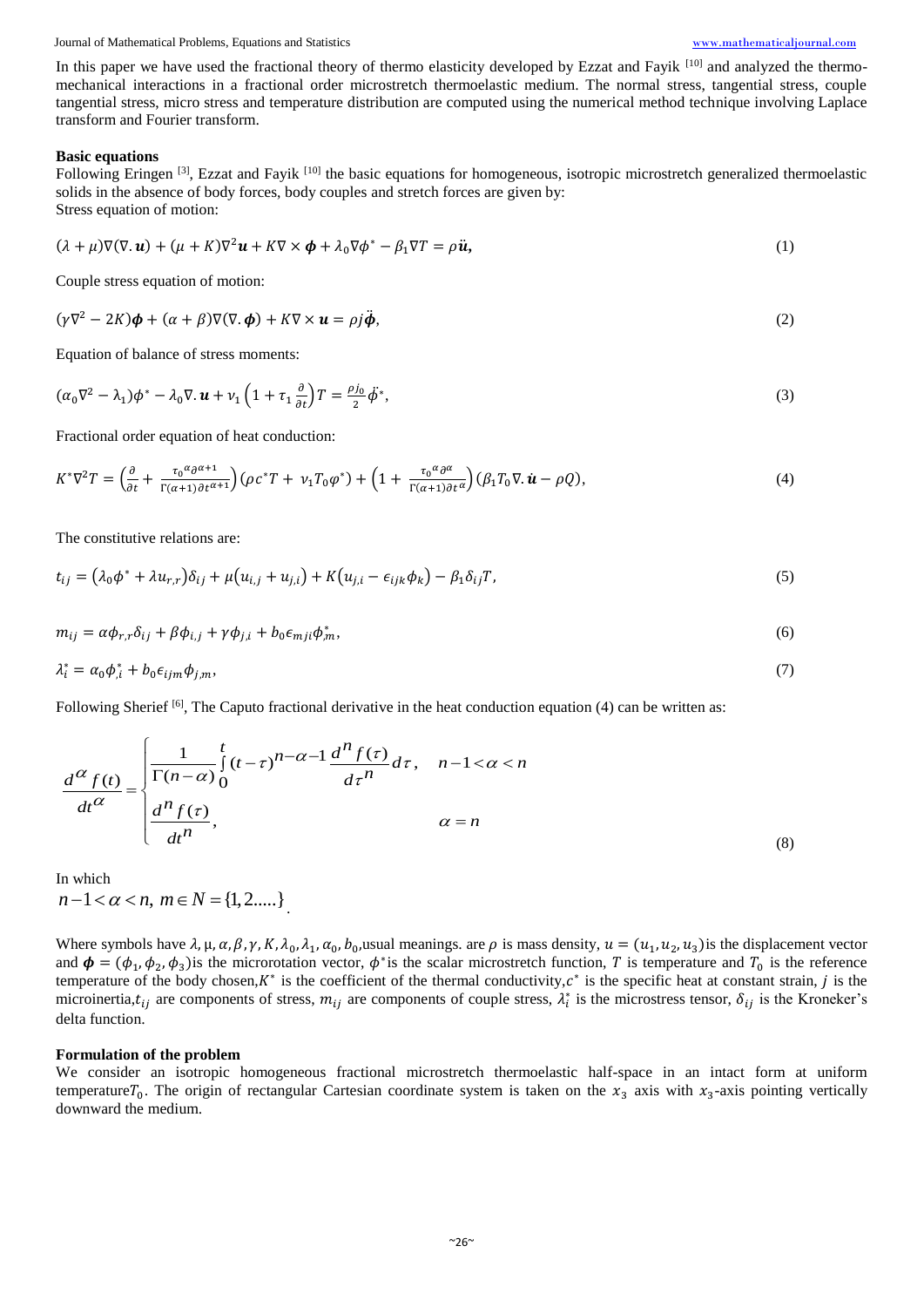Journal of Mathematical Problems, Equations and Statistics [www.mathematicaljournal.com](file://server/test/mathematicaljournal.com/issue/1%20Vol/1%20issue/www.mathematicaljournal.com)

In this paper we have used the fractional theory of thermo elasticity developed by Ezzat and Fayik [10] and analyzed the thermomechanical interactions in a fractional order microstretch thermoelastic medium. The normal stress, tangential stress, couple tangential stress, micro stress and temperature distribution are computed using the numerical method technique involving Laplace transform and Fourier transform.

#### **Basic equations**

Following Eringen  $^{[3]}$ , Ezzat and Fayik  $^{[10]}$  the basic equations for homogeneous, isotropic microstretch generalized thermoelastic solids in the absence of body forces, body couples and stretch forces are given by: Stress equation of motion:

$$
(\lambda + \mu)\nabla(\nabla \cdot \mathbf{u}) + (\mu + K)\nabla^2 \mathbf{u} + K\nabla \times \mathbf{\phi} + \lambda_0 \nabla \phi^* - \beta_1 \nabla T = \rho \mathbf{\ddot{u}},
$$
\n(1)

Couple stress equation of motion:

$$
(\gamma \nabla^2 - 2K)\boldsymbol{\phi} + (\alpha + \beta) \nabla (\nabla \cdot \boldsymbol{\phi}) + K \nabla \times \boldsymbol{u} = \rho j \ddot{\boldsymbol{\phi}},
$$
\n(2)

Equation of balance of stress moments:

$$
(\alpha_0 \nabla^2 - \lambda_1) \phi^* - \lambda_0 \nabla \cdot \mathbf{u} + \nu_1 \left( 1 + \tau_1 \frac{\partial}{\partial t} \right) T = \frac{\rho j_0}{2} \dot{\phi}^*,
$$
\n(3)

Fractional order equation of heat conduction:

$$
K^*\nabla^2 T = \left(\frac{\partial}{\partial t} + \frac{\tau_0^{\alpha} \partial^{\alpha+1}}{\Gamma(\alpha+1) \partial t^{\alpha+1}}\right) \left(\rho c^* T + \nu_1 T_0 \varphi^*\right) + \left(1 + \frac{\tau_0^{\alpha} \partial^{\alpha}}{\Gamma(\alpha+1) \partial t^{\alpha}}\right) \left(\beta_1 T_0 \nabla \cdot \dot{\boldsymbol{u}} - \rho \mathcal{Q}\right),\tag{4}
$$

The constitutive relations are:

$$
t_{ij} = (\lambda_0 \phi^* + \lambda u_{r,r}) \delta_{ij} + \mu (u_{i,j} + u_{j,i}) + K (u_{j,i} - \epsilon_{ijk} \phi_k) - \beta_1 \delta_{ij} T,
$$
\n<sup>(5)</sup>

$$
m_{ij} = \alpha \phi_{r,r} \delta_{ij} + \beta \phi_{i,j} + \gamma \phi_{j,i} + b_0 \epsilon_{mji} \phi_{,m}^*,
$$
\n
$$
(6)
$$

$$
\lambda_i^* = \alpha_0 \phi_{i}^* + b_0 \epsilon_{ijm} \phi_{j,m},\tag{7}
$$

Following Sherief <sup>[6]</sup>, The Caputo fractional derivative in the heat conduction equation (4) can be written as:  
\n
$$
\frac{d^{\alpha} f(t)}{dt^{\alpha}} = \begin{cases}\n\frac{1}{\Gamma(n-\alpha)} \int_{0}^{t} (t-\tau)^{n-\alpha-1} \frac{d^{n} f(\tau)}{d\tau^{n}} d\tau, & n-1 < \alpha < n \\
\frac{d^{n} f(\tau)}{dt^{n}}, & \alpha = n\n\end{cases}
$$
\n(8)

In which  $n-1 < \alpha < n, m \in N = \{1, 2....\}$ .

Where symbols have  $\lambda$ ,  $\mu$ ,  $\alpha$ ,  $\beta$ ,  $\gamma$ ,  $K$ ,  $\lambda_0$ ,  $\lambda_1$ ,  $\alpha_0$ ,  $b_0$ , usual meanings. are  $\rho$  is mass density,  $u = (u_1, u_2, u_3)$  is the displacement vector and  $\phi = (\phi_1, \phi_2, \phi_3)$  is the microrotation vector,  $\phi^*$  is the scalar microstretch function, T is temperature and  $T_0$  is the reference temperature of the body chosen,  $K^*$  is the coefficient of the thermal conductivity,  $c^*$  is the specific heat at constant strain, j is the microinertia,  $t_{ij}$  are components of stress,  $m_{ij}$  are components of couple stress,  $\lambda_i^*$  is the microstress tensor,  $\delta_{ij}$  is the Kroneker's delta function.

#### **Formulation of the problem**

We consider an isotropic homogeneous fractional microstretch thermoelastic half-space in an intact form at uniform temperature $T_0$ . The origin of rectangular Cartesian coordinate system is taken on the  $x_3$  axis with  $x_3$ -axis pointing vertically downward the medium.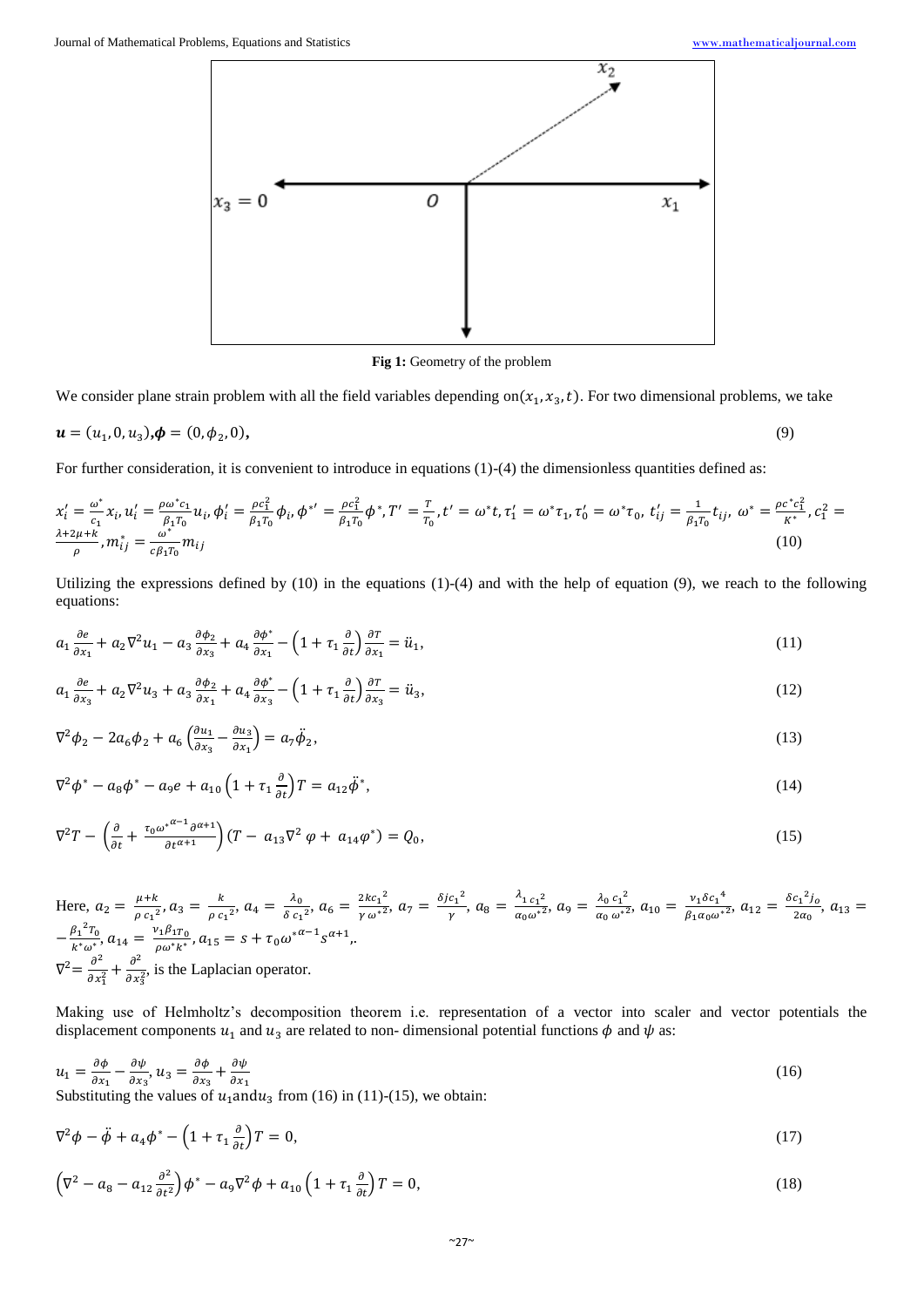

**Fig 1:** Geometry of the problem

We consider plane strain problem with all the field variables depending on $(x_1, x_3, t)$ . For two dimensional problems, we take

$$
\mathbf{u} = (u_1, 0, u_3), \mathbf{\phi} = (0, \phi_2, 0), \tag{9}
$$

For further consideration, it is convenient to introduce in equations (1)-(4) the dimensionless quantities defined as:

$$
x'_{i} = \frac{\omega^{*}}{c_{1}} x_{i}, u'_{i} = \frac{\rho \omega^{*} c_{1}}{\beta_{1} T_{0}} u_{i}, \phi'_{i} = \frac{\rho c_{1}^{2}}{\beta_{1} T_{0}} \phi_{i}, \phi^{*'} = \frac{\rho c_{1}^{2}}{\beta_{1} T_{0}} \phi^{*}, T' = \frac{T}{T_{0}}, t' = \omega^{*} t, \tau'_{1} = \omega^{*} \tau_{1}, \tau'_{0} = \omega^{*} \tau_{0}, t'_{ij} = \frac{1}{\beta_{1} T_{0}} t_{ij}, \omega^{*} = \frac{\rho c^{*} c_{1}^{2}}{\mu^{*}} c_{1}^{2} = \frac{\lambda^{2} \mu + k}{\rho}, m_{ij}^{*} = \frac{\omega^{*}}{c \beta_{1} T_{0}} m_{ij}
$$
\n(10)

Utilizing the expressions defined by  $(10)$  in the equations  $(1)-(4)$  and with the help of equation  $(9)$ , we reach to the following equations:

$$
a_1 \frac{\partial e}{\partial x_1} + a_2 \nabla^2 u_1 - a_3 \frac{\partial \phi_2}{\partial x_3} + a_4 \frac{\partial \phi^*}{\partial x_1} - \left(1 + \tau_1 \frac{\partial}{\partial t}\right) \frac{\partial \tau}{\partial x_1} = \ddot{u}_1,\tag{11}
$$

$$
a_1 \frac{\partial e}{\partial x_3} + a_2 \nabla^2 u_3 + a_3 \frac{\partial \phi_2}{\partial x_1} + a_4 \frac{\partial \phi^*}{\partial x_3} - \left(1 + \tau_1 \frac{\partial}{\partial t}\right) \frac{\partial \tau}{\partial x_3} = \ddot{u}_3,\tag{12}
$$

$$
\nabla^2 \phi_2 - 2a_6 \phi_2 + a_6 \left( \frac{\partial u_1}{\partial x_3} - \frac{\partial u_3}{\partial x_1} \right) = a_7 \ddot{\phi}_2,\tag{13}
$$

$$
\nabla^2 \phi^* - a_8 \phi^* - a_9 e + a_{10} \left( 1 + \tau_1 \frac{\partial}{\partial t} \right) T = a_{12} \ddot{\phi}^*,
$$
\n(14)

$$
\nabla^2 T - \left(\frac{\partial}{\partial t} + \frac{\tau_0 \omega^{* \alpha - 1} \partial^{\alpha + 1}}{\partial t^{\alpha + 1}}\right) (T - a_{13} \nabla^2 \varphi + a_{14} \varphi^*) = Q_0,
$$
\n(15)

Here,  $a_2 = \frac{\mu + k}{2}$  $\frac{\mu+k}{\rho c_1^2}$ ,  $a_3 = \frac{k}{\rho c_1^2}$  $\frac{k}{\rho c_1^2}$ ,  $a_4 = \frac{\lambda_0}{\delta c_1}$  $\frac{\lambda_0}{\delta c_1^2}$ ,  $a_6 = \frac{2k c_1^2}{\gamma \omega^2}$ ,  $a_7 = \frac{\delta j c_1^2}{\gamma}$  $\frac{c_1^2}{\gamma}$ ,  $a_8 = \frac{\lambda_{1} c_1^2}{\alpha_0 \omega^*^2}$ ,  $a_9 = \frac{\lambda_0 c_1^2}{\alpha_0 \omega^*^2}$ ,  $a_{10} = \frac{v_1 \delta c_1^4}{\beta_1 \alpha_0 \omega^*^2}$ ,  $a_{12} = \frac{\delta c_1^2 \delta_0}{2 \alpha_0}$  $\frac{a_1 b_0}{2a_0}$ ,  $a_{13} =$  $-\frac{\beta_1^2 T_0}{l}$  $\frac{{\beta_1}^2 T_0}{k^* \omega^*}, a_{14} = \frac{v_1 \beta_1 T_0}{\rho \omega^* k^*}$  $\frac{\nu_1 \beta_1 T_0}{\rho \omega^* k^*}$ ,  $a_{15} = s + \tau_0 \omega^{* \alpha - 1} s^{\alpha + 1}$ ,.  $\nabla^2 = \frac{\partial^2}{\partial x^2}$  $rac{\partial^2}{\partial x_1^2} + \frac{\partial^2}{\partial x_2^2}$  $\frac{\partial}{\partial x_3^2}$ , is the Laplacian operator.

Making use of Helmholtz's decomposition theorem i.e. representation of a vector into scaler and vector potentials the displacement components  $u_1$  and  $u_3$  are related to non-dimensional potential functions  $\phi$  and  $\psi$  as:

$$
u_1 = \frac{\partial \phi}{\partial x_1} - \frac{\partial \psi}{\partial x_3}, u_3 = \frac{\partial \phi}{\partial x_3} + \frac{\partial \psi}{\partial x_1}
$$
(16)

Substituting the values of  $u_1$  and  $u_3$  from (16) in (11)-(15), we obtain:

$$
\nabla^2 \phi - \ddot{\phi} + a_4 \phi^* - \left(1 + \tau_1 \frac{\partial}{\partial t}\right)T = 0,\tag{17}
$$

$$
\left(\nabla^2 - a_8 - a_{12}\frac{\partial^2}{\partial t^2}\right)\phi^* - a_9\nabla^2\phi + a_{10}\left(1 + \tau_1\frac{\partial}{\partial t}\right)T = 0,\tag{18}
$$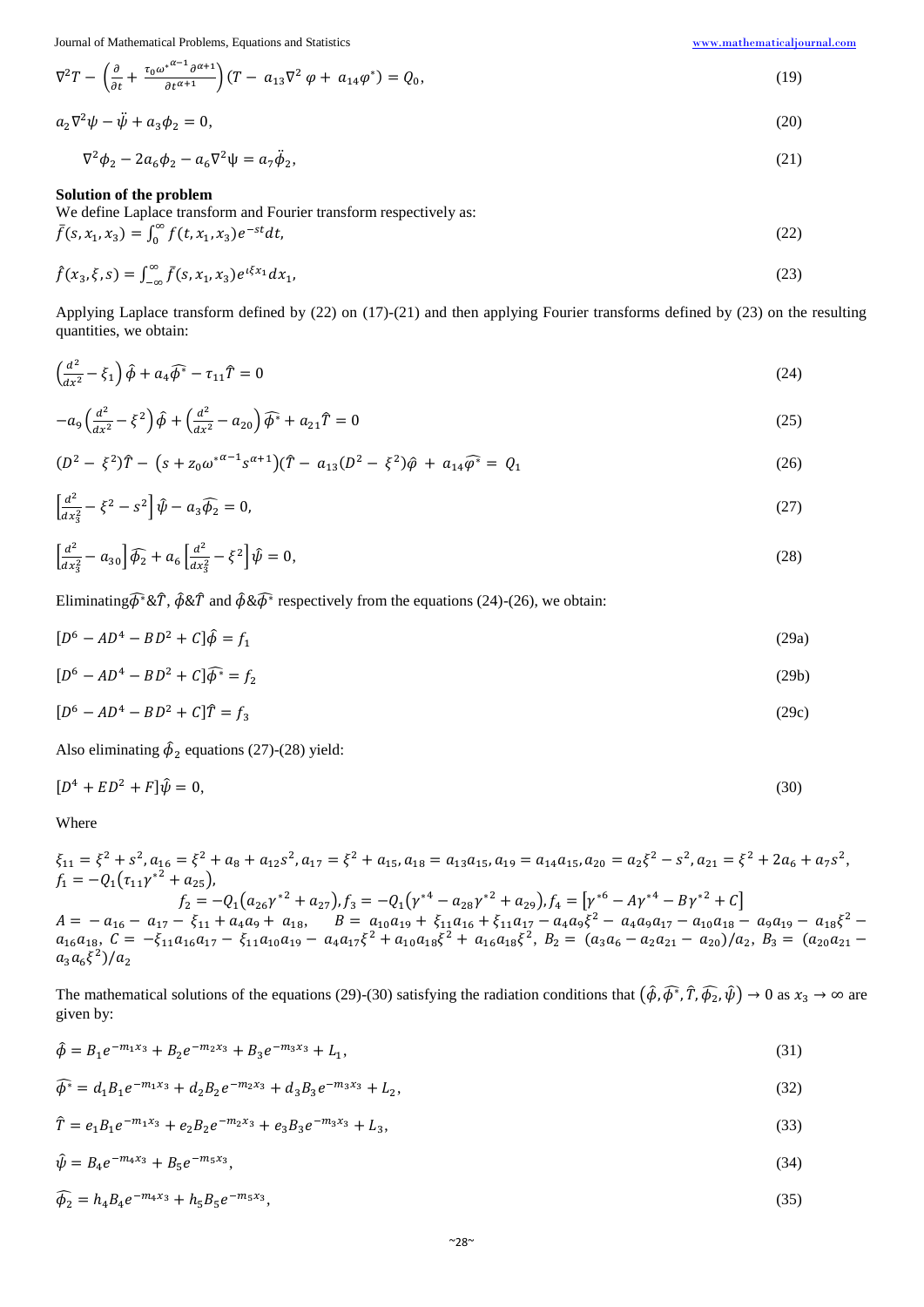Journal of Mathematical Problems, Equations and Statistics [www.mathematicaljournal.com](file://server/test/mathematicaljournal.com/issue/1%20Vol/1%20issue/www.mathematicaljournal.com)

$$
\nabla^2 T - \left(\frac{\partial}{\partial t} + \frac{\tau_0 \omega^{*^{\alpha-1}} \partial^{\alpha+1}}{\partial t^{\alpha+1}}\right) (T - a_{13} \nabla^2 \varphi + a_{14} \varphi^*) = Q_0,\tag{19}
$$

$$
a_2 \nabla^2 \psi - \ddot{\psi} + a_3 \phi_2 = 0, \tag{20}
$$

$$
\nabla^2 \phi_2 - 2a_6 \phi_2 - a_6 \nabla^2 \psi = a_7 \ddot{\phi}_2,\tag{21}
$$

# **Solution of the problem**

∇

We define Laplace transform and Fourier transform respectively as:

$$
\bar{f}(s, x_1, x_3) = \int_0^\infty f(t, x_1, x_3) e^{-st} dt,
$$
\n(22)

$$
\hat{f}(x_3, \xi, s) = \int_{-\infty}^{\infty} \bar{f}(s, x_1, x_3) e^{i\xi x_1} dx_1,
$$
\n(23)

Applying Laplace transform defined by (22) on (17)-(21) and then applying Fourier transforms defined by (23) on the resulting quantities, we obtain:

$$
\left(\frac{d^2}{dx^2} - \xi_1\right)\hat{\phi} + a_4\hat{\phi}^* - \tau_{11}\hat{T} = 0\tag{24}
$$

$$
-a_9\left(\frac{d^2}{dx^2} - \xi^2\right)\hat{\phi} + \left(\frac{d^2}{dx^2} - a_{20}\right)\hat{\phi}^* + a_{21}\hat{T} = 0
$$
\n(25)

$$
(D2 - \xi2)\hat{T} - (s + z0\omega* \alpha-1 s\alpha+1)(\hat{T} - a13(D2 - \xi2)\hat{\varphi} + a14\hat{\varphi}* = Q1
$$
\n(26)

$$
\left[\frac{d^2}{dx_3^2} - \xi^2 - s^2\right]\hat{\psi} - a_3\hat{\phi}_2 = 0,\tag{27}
$$

$$
\left[\frac{d^2}{dx_3^2} - a_{30}\right]\widehat{\phi}_2 + a_6\left[\frac{d^2}{dx_3^2} - \xi^2\right]\widehat{\psi} = 0,\tag{28}
$$

Eliminating $\widehat{\phi}^* \& \widehat{T}$ ,  $\widehat{\phi} \& \widehat{T}$  and  $\widehat{\phi} \& \widehat{\phi}^*$  respectively from the equations (24)-(26), we obtain:

$$
[D^6 - AD^4 - BD^2 + C]\hat{\phi} = f_1 \tag{29a}
$$

$$
[D6 - AD4 - BD2 + C]\widehat{\phi}* = f2
$$
 (29b)

$$
[D^6 - AD^4 - BD^2 + C]\hat{T} = f_3 \tag{29c}
$$

Also eliminating  $\hat{\phi}_2$  equations (27)-(28) yield:

$$
[D^4 + ED^2 + F]\hat{\psi} = 0,\tag{30}
$$

Where

$$
\xi_{11} = \xi^2 + s^2, a_{16} = \xi^2 + a_8 + a_{12}s^2, a_{17} = \xi^2 + a_{15}, a_{18} = a_{13}a_{15}, a_{19} = a_{14}a_{15}, a_{20} = a_2\xi^2 - s^2, a_{21} = \xi^2 + 2a_6 + a_7s^2,
$$
\n
$$
f_1 = -Q_1(\tau_{11}\gamma^{*2} + \tau_{25}),
$$
\n
$$
f_2 = -Q_1(a_{26}\gamma^{*2} + a_{27}), f_3 = -Q_1(\gamma^{*4} - a_{28}\gamma^{*2} + a_{29}), f_4 = [\gamma^{*6} - A\gamma^{*4} - B\gamma^{*2} + C]
$$
\n
$$
A = -a_{16} - a_{17} - \xi_{11} + a_4a_9 + a_{18}, \qquad B = a_{10}a_{19} + \xi_{11}a_{16} + \xi_{11}a_{17} - a_4a_9\xi^2 - a_4a_9a_{17} - a_{10}a_{18} - a_9a_{19} - a_{18}\xi^2 - a_{16}a_{18}, \qquad C = -\xi_{11}a_{16}a_{17} - \xi_{11}a_{10}a_{19} - a_4a_{17}\xi^2 + a_{10}a_{18}\xi^2 + a_{16}a_{18}\xi^2, B_2 = (a_3a_6 - a_2a_{21} - a_{20})/a_2, B_3 = (a_{20}a_{21} - a_{30}a_6\xi^2)/a_2
$$

The mathematical solutions of the equations (29)-(30) satisfying the radiation conditions that  $(\hat{\phi}, \hat{\phi^*}, \hat{T}, \hat{\phi_2}, \hat{\psi}) \to 0$  as  $x_3 \to \infty$  are given by:

$$
\hat{\phi} = B_1 e^{-m_1 x_3} + B_2 e^{-m_2 x_3} + B_3 e^{-m_3 x_3} + L_1,\tag{31}
$$

$$
\widehat{\phi^*} = d_1 B_1 e^{-m_1 x_3} + d_2 B_2 e^{-m_2 x_3} + d_3 B_3 e^{-m_3 x_3} + L_2,\tag{32}
$$

$$
\hat{T} = e_1 B_1 e^{-m_1 x_3} + e_2 B_2 e^{-m_2 x_3} + e_3 B_3 e^{-m_3 x_3} + L_3,
$$
\n(33)

$$
\hat{\psi} = B_4 e^{-m_4 x_3} + B_5 e^{-m_5 x_3},\tag{34}
$$

$$
\widehat{\phi_2} = h_4 B_4 e^{-m_4 x_3} + h_5 B_5 e^{-m_5 x_3},\tag{35}
$$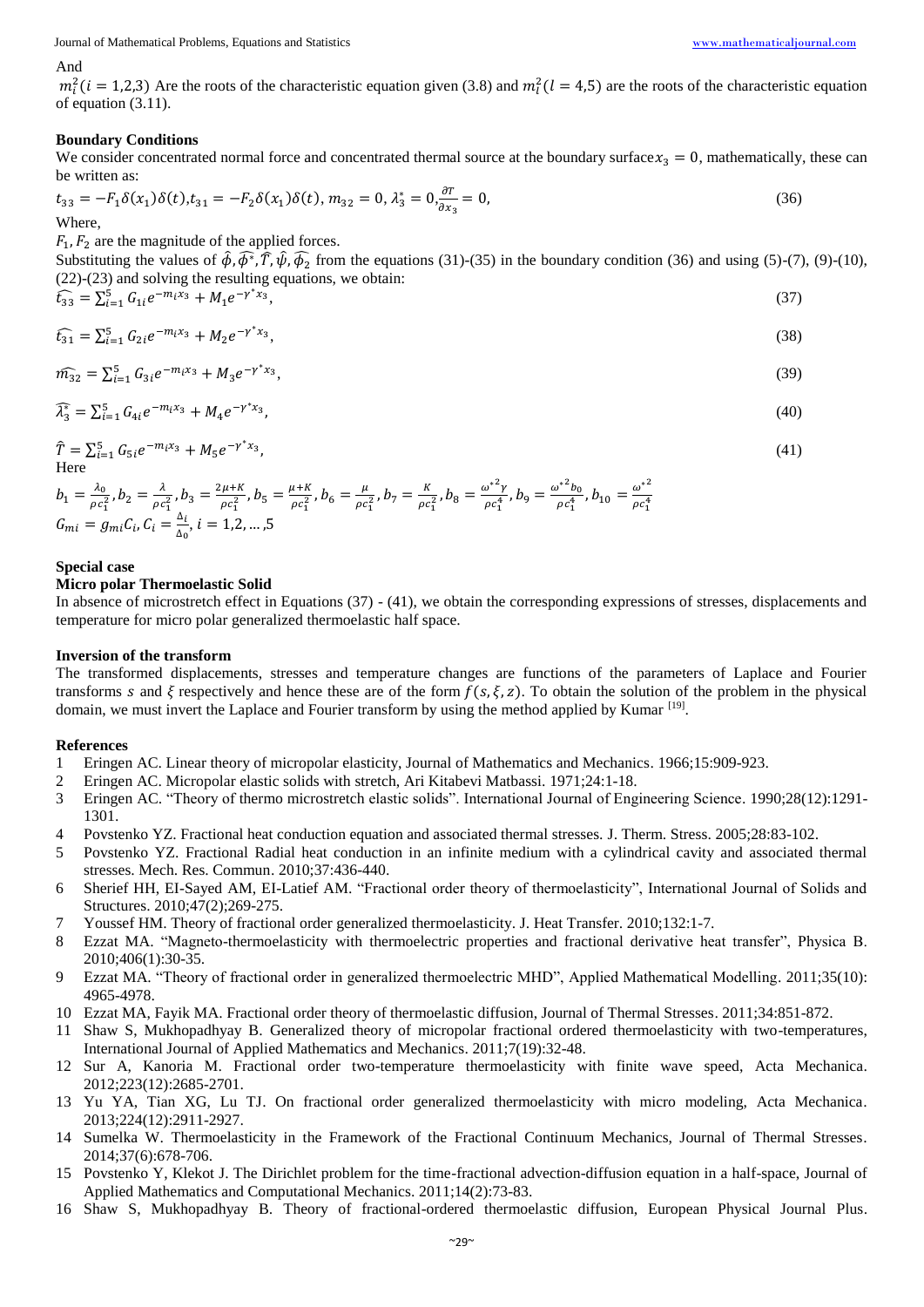Journal of Mathematical Problems, Equations and Statistics [www.mathematicaljournal.com](file://server/test/mathematicaljournal.com/issue/1%20Vol/1%20issue/www.mathematicaljournal.com)

#### And

 $m_l^2$  (*i* = 1,2,3) Are the roots of the characteristic equation given (3.8) and  $m_l^2$  (*l* = 4,5) are the roots of the characteristic equation of equation (3.11).

## **Boundary Conditions**

We consider concentrated normal force and concentrated thermal source at the boundary surface  $x_3 = 0$ , mathematically, these can be written as:

$$
t_{33} = -F_1 \delta(x_1) \delta(t), t_{31} = -F_2 \delta(x_1) \delta(t), m_{32} = 0, \lambda_3^* = 0, \frac{\partial T}{\partial x_3} = 0,
$$
\n(36)

Where,

 $F_1$ ,  $F_2$  are the magnitude of the applied forces.

Substituting the values of  $\hat{\phi}$ ,  $\hat{\phi}$ <sup>\*</sup>,  $\hat{T}$ ,  $\hat{\psi}$ ,  $\hat{\phi}_2$  from the equations (31)-(35) in the boundary condition (36) and using (5)-(7), (9)-(10), (22)-(23) and solving the resulting equations, we obtain:

$$
\widehat{t}_{33} = \sum_{i=1}^{5} G_{1i} e^{-m_i x_3} + M_1 e^{-\gamma^* x_3},\tag{37}
$$

$$
\widehat{t_{31}} = \sum_{i=1}^{5} G_{2i} e^{-m_i x_3} + M_2 e^{-\gamma^* x_3},\tag{38}
$$

$$
\widehat{m_{32}} = \sum_{i=1}^{5} G_{3i} e^{-m_i x_3} + M_3 e^{-\gamma^* x_3},\tag{39}
$$

$$
\widehat{\lambda}_3^* = \sum_{i=1}^5 G_{4i} e^{-m_i x_3} + M_4 e^{-\gamma^* x_3},\tag{40}
$$

$$
\hat{T} = \sum_{i=1}^{5} G_{5i} e^{-m_i x_3} + M_5 e^{-\gamma^* x_3},\tag{41}
$$
\nHere

 $b_1 = \frac{\lambda_0}{\alpha}$  $\frac{\lambda_0}{\rho c_1^2}$ ,  $b_2 = \frac{\lambda}{\rho c}$  $\frac{\lambda}{\rho c_1^2}$ ,  $b_3 = \frac{2\mu + K}{\rho c_1^2}$  $\frac{\mu+K}{\rho c_1^2}$ ,  $b_5 = \frac{\mu+K}{\rho c_1^2}$  $\frac{a+K}{\rho c_1^2}$ ,  $b_6 = \frac{\mu}{\rho c}$  $\frac{\mu}{\rho c_1^2}$ ,  $b_7 = \frac{K}{\rho c}$  $\frac{K}{\rho c_1^2}$ ,  $b_8 = \frac{\omega^*^2 \gamma}{\rho c_1^4}$  $\frac{\omega^{*2}\gamma}{\rho c_1^4}$ ,  $b_9 = \frac{\omega^{*2}b_0}{\rho c_1^4}$  $\frac{\omega^{*2}b_0}{\rho c_1^4}$ ,  $b_{10} = \frac{\omega^{*2}}{\rho c_1^4}$  $G_{mi} = g_{mi} C_i$ ,  $C_i = \frac{\Delta_i}{\Delta_i}$  $\frac{\Delta_i}{\Delta_0}$ ,  $i = 1, 2, ..., 5$ 

### **Special case**

## **Micro polar Thermoelastic Solid**

In absence of microstretch effect in Equations (37) - (41), we obtain the corresponding expressions of stresses, displacements and temperature for micro polar generalized thermoelastic half space.

 $\rho c_1^4$ 

#### **Inversion of the transform**

The transformed displacements, stresses and temperature changes are functions of the parameters of Laplace and Fourier transforms s and  $\xi$  respectively and hence these are of the form  $f(s,\xi,z)$ . To obtain the solution of the problem in the physical domain, we must invert the Laplace and Fourier transform by using the method applied by Kumar [19].

#### **References**

- 1 Eringen AC. Linear theory of micropolar elasticity, Journal of Mathematics and Mechanics. 1966;15:909-923.
- 2 Eringen AC. Micropolar elastic solids with stretch, Ari Kitabevi Matbassi. 1971;24:1-18.
- 3 Eringen AC. "Theory of thermo microstretch elastic solids". International Journal of Engineering Science. 1990;28(12):1291- 1301.
- 4 Povstenko YZ. Fractional heat conduction equation and associated thermal stresses. J. Therm. Stress. 2005;28:83-102.
- 5 Povstenko YZ. Fractional Radial heat conduction in an infinite medium with a cylindrical cavity and associated thermal stresses. Mech. Res. Commun. 2010;37:436-440.
- 6 Sherief HH, EI-Sayed AM, EI-Latief AM. "Fractional order theory of thermoelasticity", International Journal of Solids and Structures. 2010;47(2);269-275.
- 7 Youssef HM. Theory of fractional order generalized thermoelasticity. J. Heat Transfer. 2010;132:1-7.
- 8 Ezzat MA. "Magneto-thermoelasticity with thermoelectric properties and fractional derivative heat transfer", Physica B. 2010;406(1):30-35.
- 9 Ezzat MA. "Theory of fractional order in generalized thermoelectric MHD", Applied Mathematical Modelling. 2011;35(10): 4965-4978.
- 10 Ezzat MA, Fayik MA. Fractional order theory of thermoelastic diffusion, Journal of Thermal Stresses. 2011;34:851-872.
- 11 Shaw S, Mukhopadhyay B. Generalized theory of micropolar fractional ordered thermoelasticity with two-temperatures, International Journal of Applied Mathematics and Mechanics. 2011;7(19):32-48.
- 12 Sur A, Kanoria M. Fractional order two-temperature thermoelasticity with finite wave speed, Acta Mechanica. 2012;223(12):2685-2701.
- 13 Yu YA, Tian XG, Lu TJ. On fractional order generalized thermoelasticity with micro modeling, Acta Mechanica. 2013;224(12):2911-2927.
- 14 Sumelka W. Thermoelasticity in the Framework of the Fractional Continuum Mechanics, Journal of Thermal Stresses. 2014;37(6):678-706.
- 15 Povstenko Y, Klekot J. The Dirichlet problem for the time-fractional advection-diffusion equation in a half-space, Journal of Applied Mathematics and Computational Mechanics. 2011;14(2):73-83.
- 16 Shaw S, Mukhopadhyay B. Theory of fractional-ordered thermoelastic diffusion, European Physical Journal Plus.